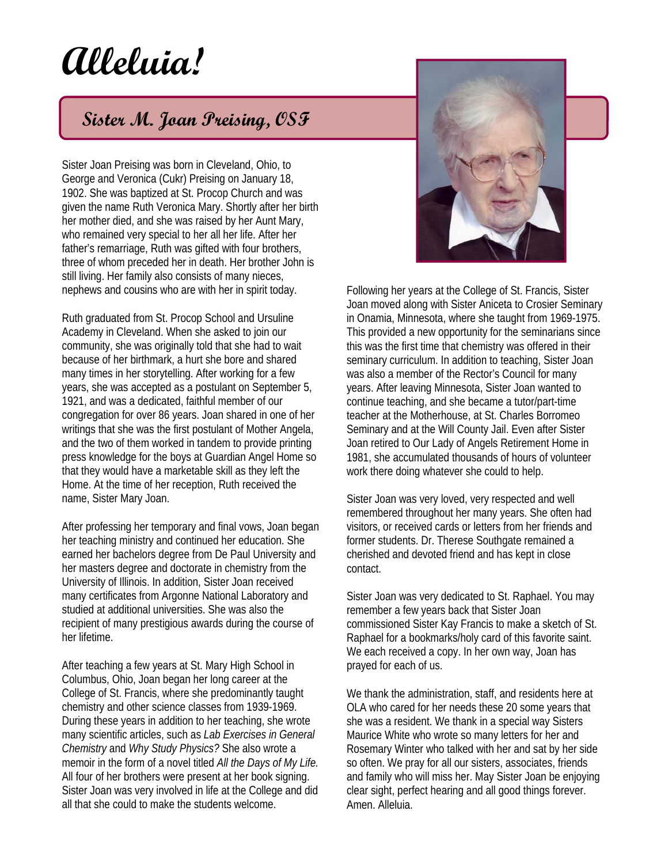## **Alleluia!**

## **Sister M. Joan Preising, OSF**

Sister Joan Preising was born in Cleveland, Ohio, to George and Veronica (Cukr) Preising on January 18, 1902. She was baptized at St. Procop Church and was given the name Ruth Veronica Mary. Shortly after her birth her mother died, and she was raised by her Aunt Mary, who remained very special to her all her life. After her father's remarriage, Ruth was gifted with four brothers, three of whom preceded her in death. Her brother John is still living. Her family also consists of many nieces, nephews and cousins who are with her in spirit today.

Ruth graduated from St. Procop School and Ursuline Academy in Cleveland. When she asked to join our community, she was originally told that she had to wait because of her birthmark, a hurt she bore and shared many times in her storytelling. After working for a few years, she was accepted as a postulant on September 5, 1921, and was a dedicated, faithful member of our congregation for over 86 years. Joan shared in one of her writings that she was the first postulant of Mother Angela, and the two of them worked in tandem to provide printing press knowledge for the boys at Guardian Angel Home so that they would have a marketable skill as they left the Home. At the time of her reception, Ruth received the name, Sister Mary Joan.

After professing her temporary and final vows, Joan began her teaching ministry and continued her education. She earned her bachelors degree from De Paul University and her masters degree and doctorate in chemistry from the University of Illinois. In addition, Sister Joan received many certificates from Argonne National Laboratory and studied at additional universities. She was also the recipient of many prestigious awards during the course of her lifetime.

After teaching a few years at St. Mary High School in Columbus, Ohio, Joan began her long career at the College of St. Francis, where she predominantly taught chemistry and other science classes from 1939-1969. During these years in addition to her teaching, she wrote many scientific articles, such as *Lab Exercises in General Chemistry* and *Why Study Physics?* She also wrote a memoir in the form of a novel titled *All the Days of My Life.* All four of her brothers were present at her book signing. Sister Joan was very involved in life at the College and did all that she could to make the students welcome.



Following her years at the College of St. Francis, Sister Joan moved along with Sister Aniceta to Crosier Seminary in Onamia, Minnesota, where she taught from 1969-1975. This provided a new opportunity for the seminarians since this was the first time that chemistry was offered in their seminary curriculum. In addition to teaching, Sister Joan was also a member of the Rector's Council for many years. After leaving Minnesota, Sister Joan wanted to continue teaching, and she became a tutor/part-time teacher at the Motherhouse, at St. Charles Borromeo Seminary and at the Will County Jail. Even after Sister Joan retired to Our Lady of Angels Retirement Home in 1981, she accumulated thousands of hours of volunteer work there doing whatever she could to help.

Sister Joan was very loved, very respected and well remembered throughout her many years. She often had visitors, or received cards or letters from her friends and former students. Dr. Therese Southgate remained a cherished and devoted friend and has kept in close contact.

Sister Joan was very dedicated to St. Raphael. You may remember a few years back that Sister Joan commissioned Sister Kay Francis to make a sketch of St. Raphael for a bookmarks/holy card of this favorite saint. We each received a copy. In her own way, Joan has prayed for each of us.

We thank the administration, staff, and residents here at OLA who cared for her needs these 20 some years that she was a resident. We thank in a special way Sisters Maurice White who wrote so many letters for her and Rosemary Winter who talked with her and sat by her side so often. We pray for all our sisters, associates, friends and family who will miss her. May Sister Joan be enjoying clear sight, perfect hearing and all good things forever. Amen. Alleluia.